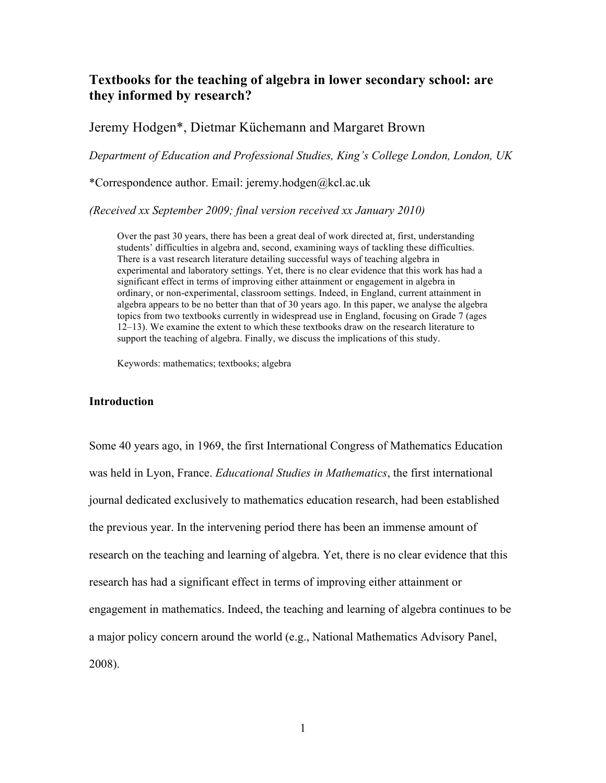# **Textbooks for the teaching of algebra in lower secondary school: are they informed by research?**

# Jeremy Hodgen\*, Dietmar Küchemann and Margaret Brown

*Department of Education and Professional Studies, King's College London, London, UK*

\*Correspondence author. Email: jeremy.hodgen@kcl.ac.uk

*(Received xx September 2009; final version received xx January 2010)*

Over the past 30 years, there has been a great deal of work directed at, first, understanding students' difficulties in algebra and, second, examining ways of tackling these difficulties. There is a vast research literature detailing successful ways of teaching algebra in experimental and laboratory settings. Yet, there is no clear evidence that this work has had a significant effect in terms of improving either attainment or engagement in algebra in ordinary, or non-experimental, classroom settings. Indeed, in England, current attainment in algebra appears to be no better than that of 30 years ago. In this paper, we analyse the algebra topics from two textbooks currently in widespread use in England, focusing on Grade 7 (ages 12–13). We examine the extent to which these textbooks draw on the research literature to support the teaching of algebra. Finally, we discuss the implications of this study.

Keywords: mathematics; textbooks; algebra

### **Introduction**

Some 40 years ago, in 1969, the first International Congress of Mathematics Education was held in Lyon, France. *Educational Studies in Mathematics*, the first international journal dedicated exclusively to mathematics education research, had been established the previous year. In the intervening period there has been an immense amount of research on the teaching and learning of algebra. Yet, there is no clear evidence that this research has had a significant effect in terms of improving either attainment or engagement in mathematics. Indeed, the teaching and learning of algebra continues to be a major policy concern around the world (e.g., National Mathematics Advisory Panel, 2008).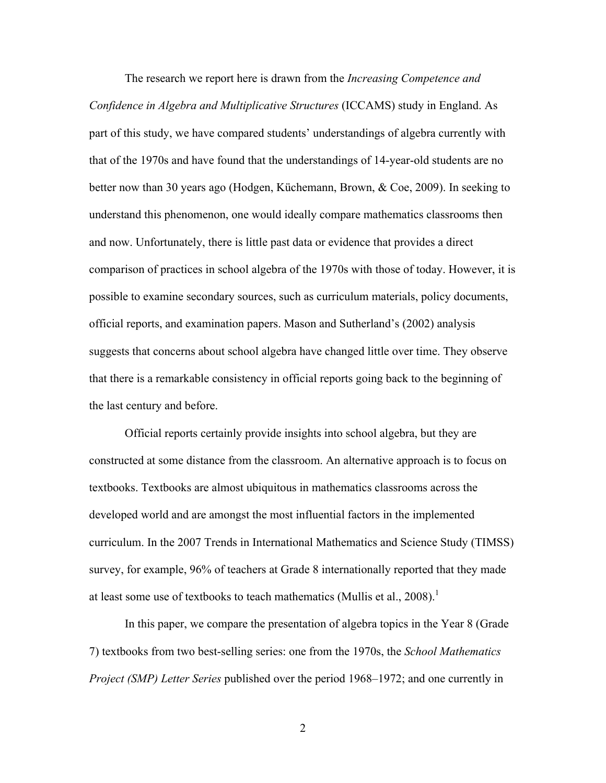The research we report here is drawn from the *Increasing Competence and Confidence in Algebra and Multiplicative Structures* (ICCAMS) study in England. As part of this study, we have compared students' understandings of algebra currently with that of the 1970s and have found that the understandings of 14-year-old students are no better now than 30 years ago (Hodgen, Küchemann, Brown, & Coe, 2009). In seeking to understand this phenomenon, one would ideally compare mathematics classrooms then and now. Unfortunately, there is little past data or evidence that provides a direct comparison of practices in school algebra of the 1970s with those of today. However, it is possible to examine secondary sources, such as curriculum materials, policy documents, official reports, and examination papers. Mason and Sutherland's (2002) analysis suggests that concerns about school algebra have changed little over time. They observe that there is a remarkable consistency in official reports going back to the beginning of the last century and before.

Official reports certainly provide insights into school algebra, but they are constructed at some distance from the classroom. An alternative approach is to focus on textbooks. Textbooks are almost ubiquitous in mathematics classrooms across the developed world and are amongst the most influential factors in the implemented curriculum. In the 2007 Trends in International Mathematics and Science Study (TIMSS) survey, for example, 96% of teachers at Grade 8 internationally reported that they made at least some use of textbooks to teach mathematics (Mullis et al., 2008).<sup>1</sup>

In this paper, we compare the presentation of algebra topics in the Year 8 (Grade 7) textbooks from two best-selling series: one from the 1970s, the *School Mathematics Project (SMP) Letter Series* published over the period 1968–1972; and one currently in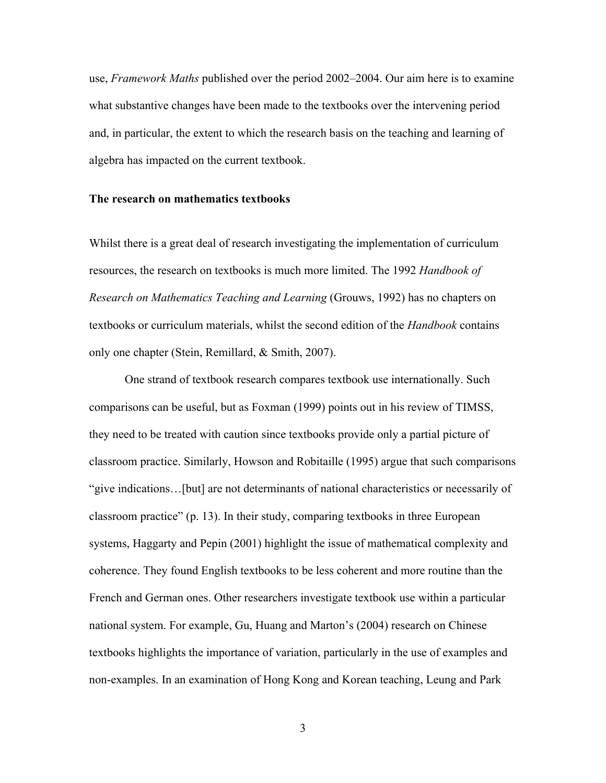use, *Framework Maths* published over the period 2002–2004. Our aim here is to examine what substantive changes have been made to the textbooks over the intervening period and, in particular, the extent to which the research basis on the teaching and learning of algebra has impacted on the current textbook.

#### **The research on mathematics textbooks**

Whilst there is a great deal of research investigating the implementation of curriculum resources, the research on textbooks is much more limited. The 1992 *Handbook of Research on Mathematics Teaching and Learning* (Grouws, 1992) has no chapters on textbooks or curriculum materials, whilst the second edition of the *Handbook* contains only one chapter (Stein, Remillard, & Smith, 2007).

One strand of textbook research compares textbook use internationally. Such comparisons can be useful, but as Foxman (1999) points out in his review of TIMSS, they need to be treated with caution since textbooks provide only a partial picture of classroom practice. Similarly, Howson and Robitaille (1995) argue that such comparisons "give indications…[but] are not determinants of national characteristics or necessarily of classroom practice" (p. 13). In their study, comparing textbooks in three European systems, Haggarty and Pepin (2001) highlight the issue of mathematical complexity and coherence. They found English textbooks to be less coherent and more routine than the French and German ones. Other researchers investigate textbook use within a particular national system. For example, Gu, Huang and Marton's (2004) research on Chinese textbooks highlights the importance of variation, particularly in the use of examples and non-examples. In an examination of Hong Kong and Korean teaching, Leung and Park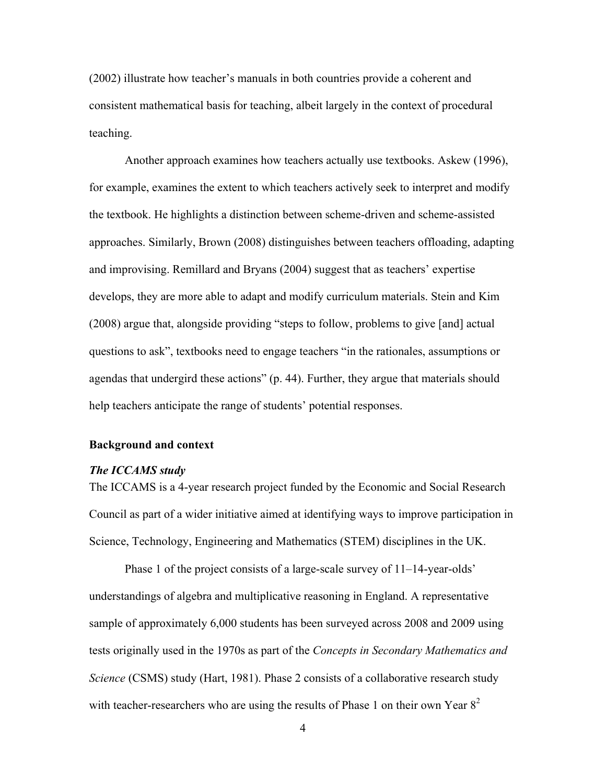(2002) illustrate how teacher's manuals in both countries provide a coherent and consistent mathematical basis for teaching, albeit largely in the context of procedural teaching.

Another approach examines how teachers actually use textbooks. Askew (1996), for example, examines the extent to which teachers actively seek to interpret and modify the textbook. He highlights a distinction between scheme-driven and scheme-assisted approaches. Similarly, Brown (2008) distinguishes between teachers offloading, adapting and improvising. Remillard and Bryans (2004) suggest that as teachers' expertise develops, they are more able to adapt and modify curriculum materials. Stein and Kim (2008) argue that, alongside providing "steps to follow, problems to give [and] actual questions to ask", textbooks need to engage teachers "in the rationales, assumptions or agendas that undergird these actions" (p. 44). Further, they argue that materials should help teachers anticipate the range of students' potential responses.

## **Background and context**

### *The ICCAMS study*

The ICCAMS is a 4-year research project funded by the Economic and Social Research Council as part of a wider initiative aimed at identifying ways to improve participation in Science, Technology, Engineering and Mathematics (STEM) disciplines in the UK.

Phase 1 of the project consists of a large-scale survey of 11–14-year-olds' understandings of algebra and multiplicative reasoning in England. A representative sample of approximately 6,000 students has been surveyed across 2008 and 2009 using tests originally used in the 1970s as part of the *Concepts in Secondary Mathematics and Science* (CSMS) study (Hart, 1981). Phase 2 consists of a collaborative research study with teacher-researchers who are using the results of Phase 1 on their own Year  $8^2$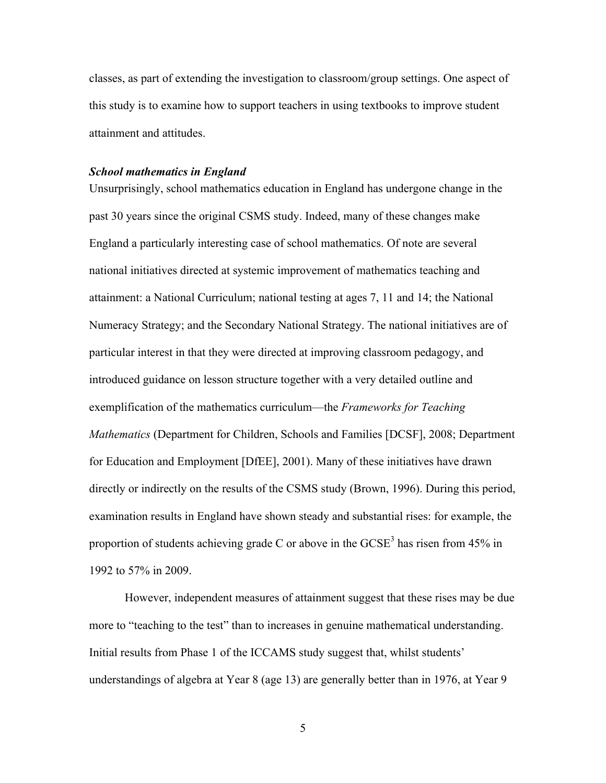classes, as part of extending the investigation to classroom/group settings. One aspect of this study is to examine how to support teachers in using textbooks to improve student attainment and attitudes.

### *School mathematics in England*

Unsurprisingly, school mathematics education in England has undergone change in the past 30 years since the original CSMS study. Indeed, many of these changes make England a particularly interesting case of school mathematics. Of note are several national initiatives directed at systemic improvement of mathematics teaching and attainment: a National Curriculum; national testing at ages 7, 11 and 14; the National Numeracy Strategy; and the Secondary National Strategy. The national initiatives are of particular interest in that they were directed at improving classroom pedagogy, and introduced guidance on lesson structure together with a very detailed outline and exemplification of the mathematics curriculum—the *Frameworks for Teaching Mathematics* (Department for Children, Schools and Families [DCSF], 2008; Department for Education and Employment [DfEE], 2001). Many of these initiatives have drawn directly or indirectly on the results of the CSMS study (Brown, 1996). During this period, examination results in England have shown steady and substantial rises: for example, the proportion of students achieving grade C or above in the  $GCSE<sup>3</sup>$  has risen from 45% in 1992 to 57% in 2009.

However, independent measures of attainment suggest that these rises may be due more to "teaching to the test" than to increases in genuine mathematical understanding. Initial results from Phase 1 of the ICCAMS study suggest that, whilst students' understandings of algebra at Year 8 (age 13) are generally better than in 1976, at Year 9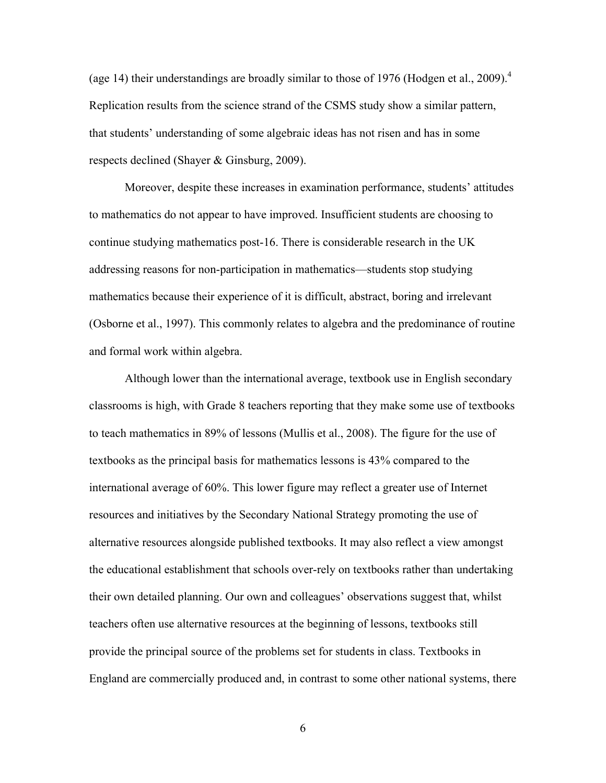(age 14) their understandings are broadly similar to those of 1976 (Hodgen et al., 2009).<sup>4</sup> Replication results from the science strand of the CSMS study show a similar pattern, that students' understanding of some algebraic ideas has not risen and has in some respects declined (Shayer & Ginsburg, 2009).

Moreover, despite these increases in examination performance, students' attitudes to mathematics do not appear to have improved. Insufficient students are choosing to continue studying mathematics post-16. There is considerable research in the UK addressing reasons for non-participation in mathematics—students stop studying mathematics because their experience of it is difficult, abstract, boring and irrelevant (Osborne et al., 1997). This commonly relates to algebra and the predominance of routine and formal work within algebra.

Although lower than the international average, textbook use in English secondary classrooms is high, with Grade 8 teachers reporting that they make some use of textbooks to teach mathematics in 89% of lessons (Mullis et al., 2008). The figure for the use of textbooks as the principal basis for mathematics lessons is 43% compared to the international average of 60%. This lower figure may reflect a greater use of Internet resources and initiatives by the Secondary National Strategy promoting the use of alternative resources alongside published textbooks. It may also reflect a view amongst the educational establishment that schools over-rely on textbooks rather than undertaking their own detailed planning. Our own and colleagues' observations suggest that, whilst teachers often use alternative resources at the beginning of lessons, textbooks still provide the principal source of the problems set for students in class. Textbooks in England are commercially produced and, in contrast to some other national systems, there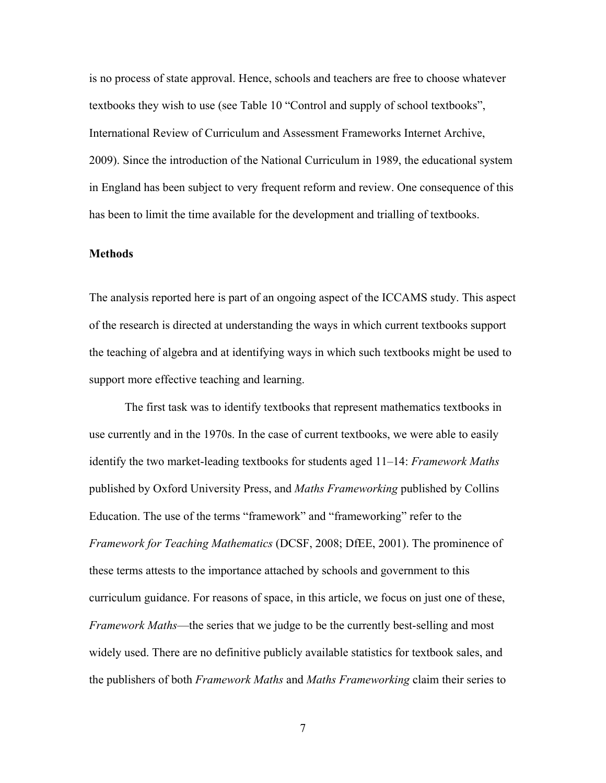is no process of state approval. Hence, schools and teachers are free to choose whatever textbooks they wish to use (see Table 10 "Control and supply of school textbooks", International Review of Curriculum and Assessment Frameworks Internet Archive, 2009). Since the introduction of the National Curriculum in 1989, the educational system in England has been subject to very frequent reform and review. One consequence of this has been to limit the time available for the development and trialling of textbooks.

### **Methods**

The analysis reported here is part of an ongoing aspect of the ICCAMS study. This aspect of the research is directed at understanding the ways in which current textbooks support the teaching of algebra and at identifying ways in which such textbooks might be used to support more effective teaching and learning.

The first task was to identify textbooks that represent mathematics textbooks in use currently and in the 1970s. In the case of current textbooks, we were able to easily identify the two market-leading textbooks for students aged 11–14: *Framework Maths* published by Oxford University Press, and *Maths Frameworking* published by Collins Education. The use of the terms "framework" and "frameworking" refer to the *Framework for Teaching Mathematics* (DCSF, 2008; DfEE, 2001). The prominence of these terms attests to the importance attached by schools and government to this curriculum guidance. For reasons of space, in this article, we focus on just one of these, *Framework Maths*—the series that we judge to be the currently best-selling and most widely used. There are no definitive publicly available statistics for textbook sales, and the publishers of both *Framework Maths* and *Maths Frameworking* claim their series to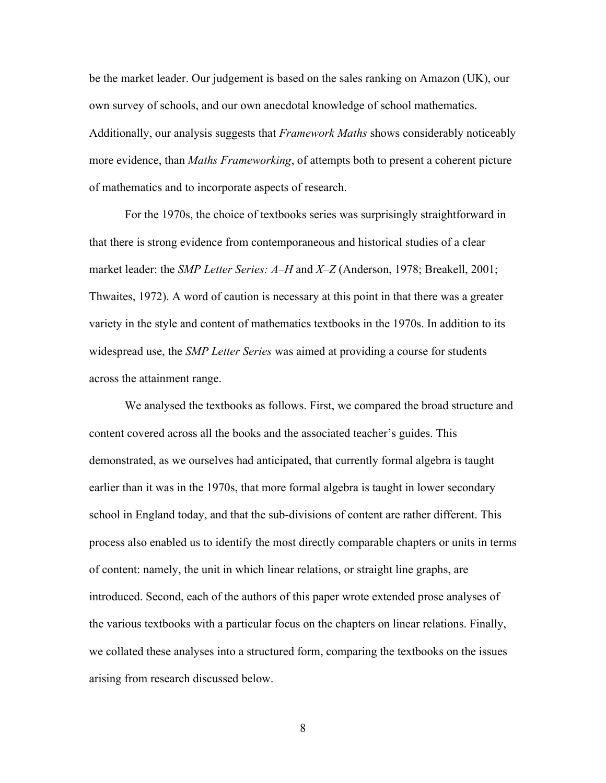be the market leader. Our judgement is based on the sales ranking on Amazon (UK), our own survey of schools, and our own anecdotal knowledge of school mathematics. Additionally, our analysis suggests that *Framework Maths* shows considerably noticeably more evidence, than *Maths Frameworking*, of attempts both to present a coherent picture of mathematics and to incorporate aspects of research.

For the 1970s, the choice of textbooks series was surprisingly straightforward in that there is strong evidence from contemporaneous and historical studies of a clear market leader: the *SMP Letter Series: A–H* and *X–Z* (Anderson, 1978; Breakell, 2001; Thwaites, 1972). A word of caution is necessary at this point in that there was a greater variety in the style and content of mathematics textbooks in the 1970s. In addition to its widespread use, the *SMP Letter Series* was aimed at providing a course for students across the attainment range.

We analysed the textbooks as follows. First, we compared the broad structure and content covered across all the books and the associated teacher's guides. This demonstrated, as we ourselves had anticipated, that currently formal algebra is taught earlier than it was in the 1970s, that more formal algebra is taught in lower secondary school in England today, and that the sub-divisions of content are rather different. This process also enabled us to identify the most directly comparable chapters or units in terms of content: namely, the unit in which linear relations, or straight line graphs, are introduced. Second, each of the authors of this paper wrote extended prose analyses of the various textbooks with a particular focus on the chapters on linear relations. Finally, we collated these analyses into a structured form, comparing the textbooks on the issues arising from research discussed below.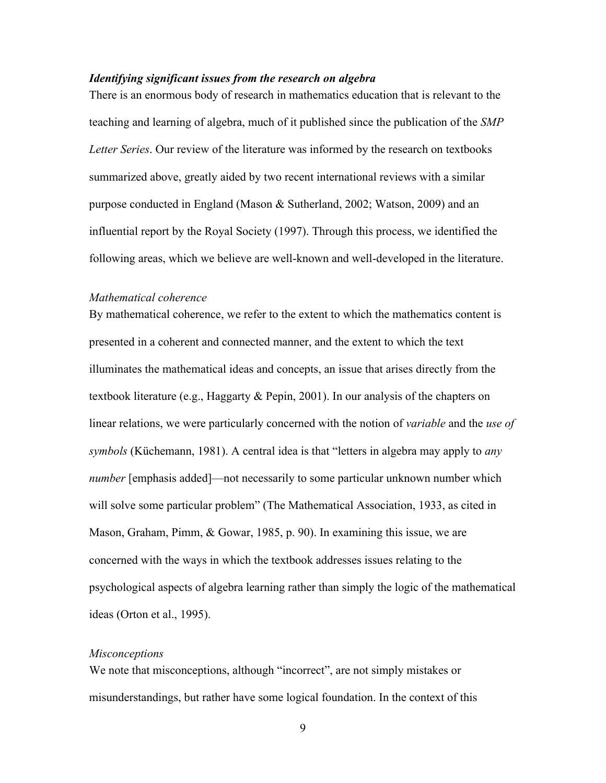## *Identifying significant issues from the research on algebra*

There is an enormous body of research in mathematics education that is relevant to the teaching and learning of algebra, much of it published since the publication of the *SMP Letter Series*. Our review of the literature was informed by the research on textbooks summarized above, greatly aided by two recent international reviews with a similar purpose conducted in England (Mason & Sutherland, 2002; Watson, 2009) and an influential report by the Royal Society (1997). Through this process, we identified the following areas, which we believe are well-known and well-developed in the literature.

### *Mathematical coherence*

By mathematical coherence, we refer to the extent to which the mathematics content is presented in a coherent and connected manner, and the extent to which the text illuminates the mathematical ideas and concepts, an issue that arises directly from the textbook literature (e.g., Haggarty & Pepin, 2001). In our analysis of the chapters on linear relations, we were particularly concerned with the notion of *variable* and the *use of symbols* (Küchemann, 1981). A central idea is that "letters in algebra may apply to *any number* [emphasis added]—not necessarily to some particular unknown number which will solve some particular problem" (The Mathematical Association, 1933, as cited in Mason, Graham, Pimm, & Gowar, 1985, p. 90). In examining this issue, we are concerned with the ways in which the textbook addresses issues relating to the psychological aspects of algebra learning rather than simply the logic of the mathematical ideas (Orton et al., 1995).

## *Misconceptions*

We note that misconceptions, although "incorrect", are not simply mistakes or misunderstandings, but rather have some logical foundation. In the context of this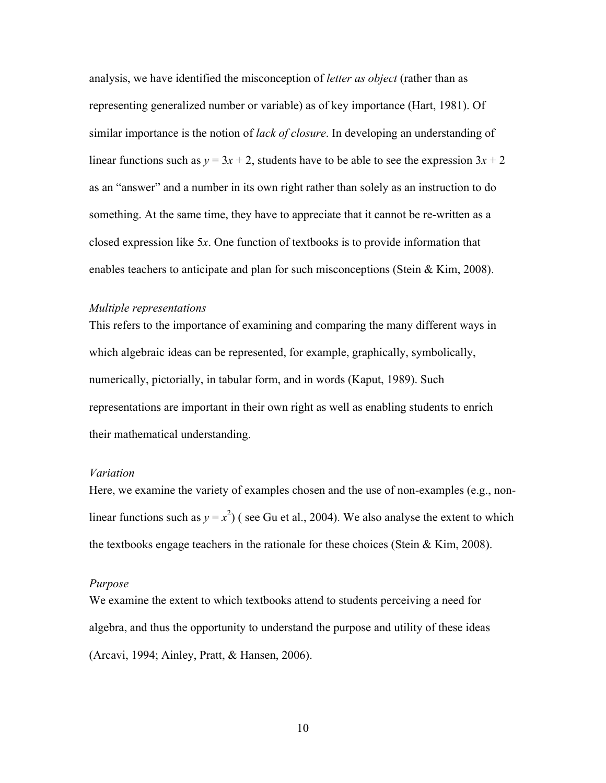analysis, we have identified the misconception of *letter as object* (rather than as representing generalized number or variable) as of key importance (Hart, 1981). Of similar importance is the notion of *lack of closure*. In developing an understanding of linear functions such as  $y = 3x + 2$ , students have to be able to see the expression  $3x + 2$ as an "answer" and a number in its own right rather than solely as an instruction to do something. At the same time, they have to appreciate that it cannot be re-written as a closed expression like 5*x*. One function of textbooks is to provide information that enables teachers to anticipate and plan for such misconceptions (Stein & Kim, 2008).

#### *Multiple representations*

This refers to the importance of examining and comparing the many different ways in which algebraic ideas can be represented, for example, graphically, symbolically, numerically, pictorially, in tabular form, and in words (Kaput, 1989). Such representations are important in their own right as well as enabling students to enrich their mathematical understanding.

### *Variation*

Here, we examine the variety of examples chosen and the use of non-examples (e.g., nonlinear functions such as  $y = x^2$ ) (see Gu et al., 2004). We also analyse the extent to which the textbooks engage teachers in the rationale for these choices (Stein & Kim, 2008).

### *Purpose*

We examine the extent to which textbooks attend to students perceiving a need for algebra, and thus the opportunity to understand the purpose and utility of these ideas (Arcavi, 1994; Ainley, Pratt, & Hansen, 2006).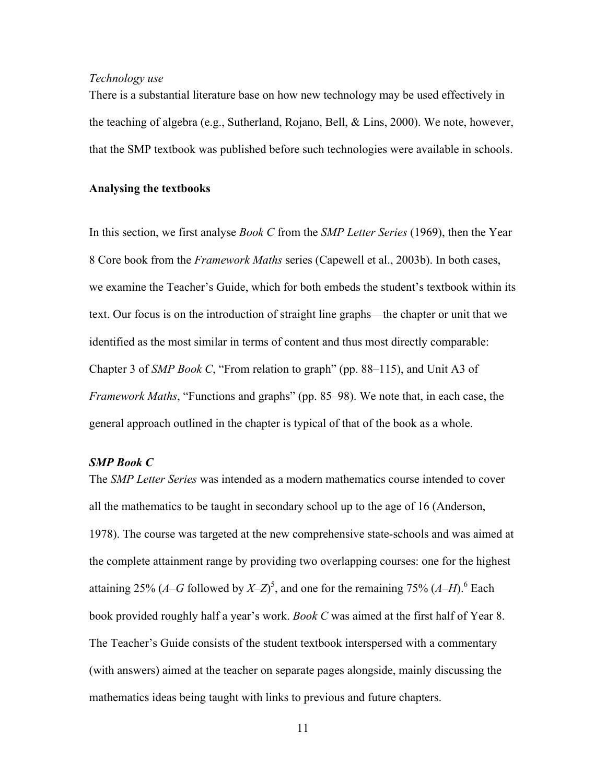# *Technology use*

There is a substantial literature base on how new technology may be used effectively in the teaching of algebra (e.g., Sutherland, Rojano, Bell, & Lins, 2000). We note, however, that the SMP textbook was published before such technologies were available in schools.

# **Analysing the textbooks**

In this section, we first analyse *Book C* from the *SMP Letter Series* (1969), then the Year 8 Core book from the *Framework Maths* series (Capewell et al., 2003b). In both cases, we examine the Teacher's Guide, which for both embeds the student's textbook within its text. Our focus is on the introduction of straight line graphs—the chapter or unit that we identified as the most similar in terms of content and thus most directly comparable: Chapter 3 of *SMP Book C*, "From relation to graph" (pp. 88–115), and Unit A3 of *Framework Maths*, "Functions and graphs" (pp. 85–98). We note that, in each case, the general approach outlined in the chapter is typical of that of the book as a whole.

# *SMP Book C*

The *SMP Letter Series* was intended as a modern mathematics course intended to cover all the mathematics to be taught in secondary school up to the age of 16 (Anderson, 1978). The course was targeted at the new comprehensive state-schools and was aimed at the complete attainment range by providing two overlapping courses: one for the highest attaining 25% ( $A$ – $G$  followed by  $X$ – $Z$ )<sup>5</sup>, and one for the remaining 75% ( $A$ – $H$ ).<sup>6</sup> Each book provided roughly half a year's work. *Book C* was aimed at the first half of Year 8. The Teacher's Guide consists of the student textbook interspersed with a commentary (with answers) aimed at the teacher on separate pages alongside, mainly discussing the mathematics ideas being taught with links to previous and future chapters.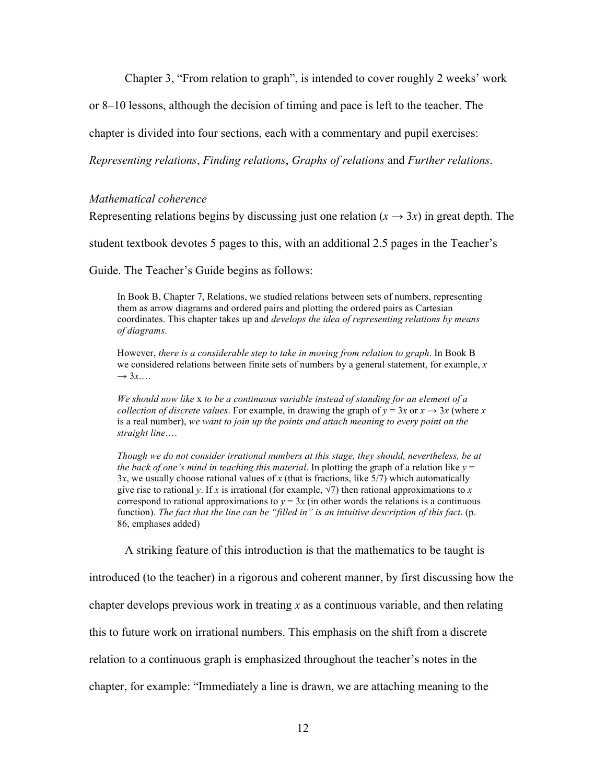Chapter 3, "From relation to graph", is intended to cover roughly 2 weeks' work

or 8–10 lessons, although the decision of timing and pace is left to the teacher. The

chapter is divided into four sections, each with a commentary and pupil exercises:

*Representing relations*, *Finding relations*, *Graphs of relations* and *Further relations*.

### *Mathematical coherence*

Representing relations begins by discussing just one relation  $(x \rightarrow 3x)$  in great depth. The

student textbook devotes 5 pages to this, with an additional 2.5 pages in the Teacher's

Guide. The Teacher's Guide begins as follows:

In Book B, Chapter 7, Relations, we studied relations between sets of numbers, representing them as arrow diagrams and ordered pairs and plotting the ordered pairs as Cartesian coordinates. This chapter takes up and *develops the idea of representing relations by means of diagrams*.

However, *there is a considerable step to take in moving from relation to graph*. In Book B we considered relations between finite sets of numbers by a general statement, for example, *x*  $\rightarrow$  3*x*...

*We should now like* x *to be a continuous variable instead of standing for an element of a collection of discrete values*. For example, in drawing the graph of  $y = 3x$  or  $x \rightarrow 3x$  (where *x* is a real number), *we want to join up the points and attach meaning to every point on the straight line*.…

*Though we do not consider irrational numbers at this stage, they should, nevertheless, be at the back of one's mind in teaching this material.* In plotting the graph of a relation like  $y =$  $3x$ , we usually choose rational values of *x* (that is fractions, like  $5/7$ ) which automatically give rise to rational *y*. If *x* is irrational (for example,  $\sqrt{7}$ ) then rational approximations to *x* correspond to rational approximations to  $y = 3x$  (in other words the relations is a continuous function). *The fact that the line can be "filled in" is an intuitive description of this fact*. (p. 86, emphases added)

A striking feature of this introduction is that the mathematics to be taught is introduced (to the teacher) in a rigorous and coherent manner, by first discussing how the chapter develops previous work in treating *x* as a continuous variable, and then relating this to future work on irrational numbers. This emphasis on the shift from a discrete relation to a continuous graph is emphasized throughout the teacher's notes in the chapter, for example: "Immediately a line is drawn, we are attaching meaning to the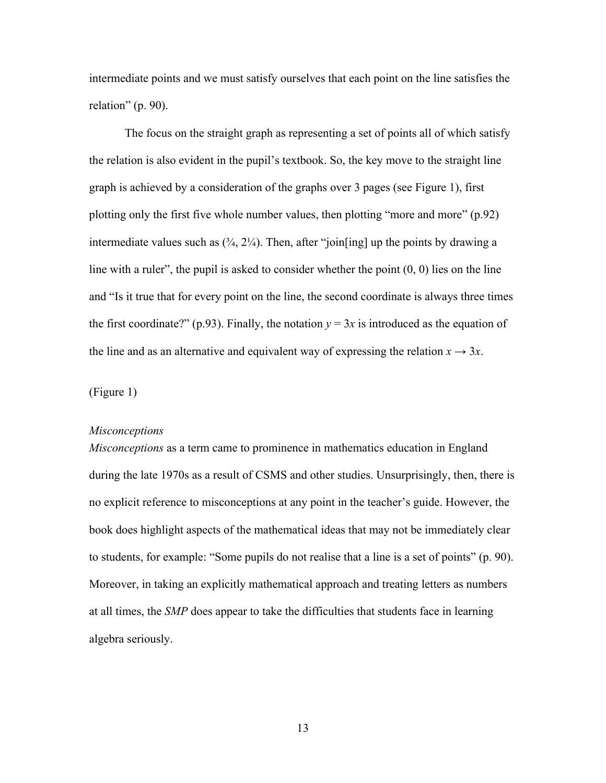intermediate points and we must satisfy ourselves that each point on the line satisfies the relation" (p. 90).

The focus on the straight graph as representing a set of points all of which satisfy the relation is also evident in the pupil's textbook. So, the key move to the straight line graph is achieved by a consideration of the graphs over 3 pages (see Figure 1), first plotting only the first five whole number values, then plotting "more and more" (p.92) intermediate values such as  $(3/4, 2\frac{1}{4})$ . Then, after "join[ing] up the points by drawing a line with a ruler", the pupil is asked to consider whether the point  $(0, 0)$  lies on the line and "Is it true that for every point on the line, the second coordinate is always three times the first coordinate?" (p.93). Finally, the notation  $y = 3x$  is introduced as the equation of the line and as an alternative and equivalent way of expressing the relation  $x \to 3x$ .

(Figure 1)

#### *Misconceptions*

*Misconceptions* as a term came to prominence in mathematics education in England during the late 1970s as a result of CSMS and other studies. Unsurprisingly, then, there is no explicit reference to misconceptions at any point in the teacher's guide. However, the book does highlight aspects of the mathematical ideas that may not be immediately clear to students, for example: "Some pupils do not realise that a line is a set of points" (p. 90). Moreover, in taking an explicitly mathematical approach and treating letters as numbers at all times, the *SMP* does appear to take the difficulties that students face in learning algebra seriously.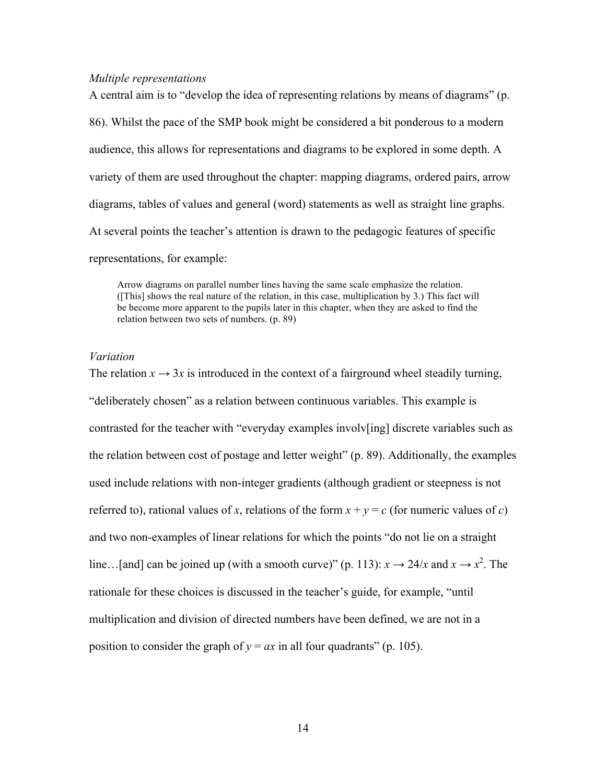#### *Multiple representations*

A central aim is to "develop the idea of representing relations by means of diagrams" (p. 86). Whilst the pace of the SMP book might be considered a bit ponderous to a modern audience, this allows for representations and diagrams to be explored in some depth. A variety of them are used throughout the chapter: mapping diagrams, ordered pairs, arrow diagrams, tables of values and general (word) statements as well as straight line graphs. At several points the teacher's attention is drawn to the pedagogic features of specific representations, for example:

Arrow diagrams on parallel number lines having the same scale emphasize the relation. ([This] shows the real nature of the relation, in this case, multiplication by 3.) This fact will be become more apparent to the pupils later in this chapter, when they are asked to find the relation between two sets of numbers. (p. 89)

#### *Variation*

The relation  $x \to 3x$  is introduced in the context of a fairground wheel steadily turning, "deliberately chosen" as a relation between continuous variables. This example is contrasted for the teacher with "everyday examples involv[ing] discrete variables such as the relation between cost of postage and letter weight" (p. 89). Additionally, the examples used include relations with non-integer gradients (although gradient or steepness is not referred to), rational values of *x*, relations of the form  $x + y = c$  (for numeric values of *c*) and two non-examples of linear relations for which the points "do not lie on a straight line...[and] can be joined up (with a smooth curve)" (p. 113):  $x \to 24/x$  and  $x \to x^2$ . The rationale for these choices is discussed in the teacher's guide, for example, "until multiplication and division of directed numbers have been defined, we are not in a position to consider the graph of  $y = ax$  in all four quadrants" (p. 105).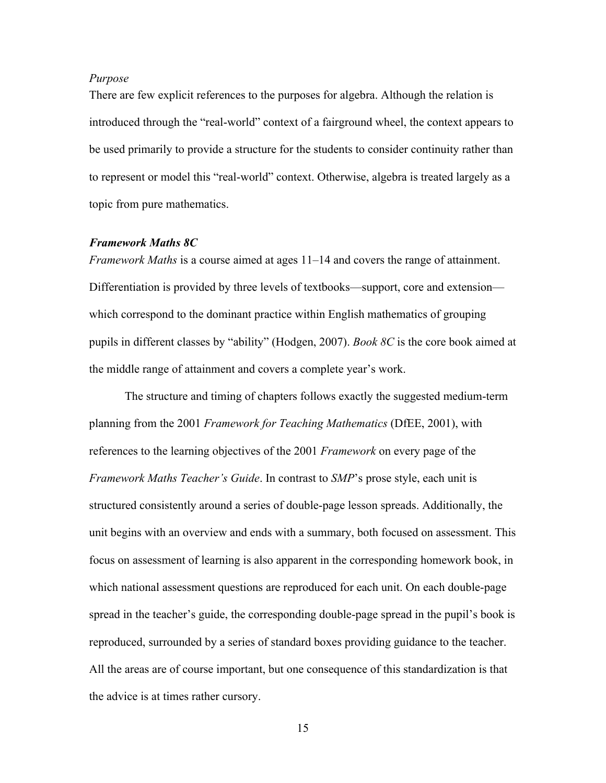### *Purpose*

There are few explicit references to the purposes for algebra. Although the relation is introduced through the "real-world" context of a fairground wheel, the context appears to be used primarily to provide a structure for the students to consider continuity rather than to represent or model this "real-world" context. Otherwise, algebra is treated largely as a topic from pure mathematics.

### *Framework Maths 8C*

*Framework Maths* is a course aimed at ages 11–14 and covers the range of attainment. Differentiation is provided by three levels of textbooks—support, core and extension which correspond to the dominant practice within English mathematics of grouping pupils in different classes by "ability" (Hodgen, 2007). *Book 8C* is the core book aimed at the middle range of attainment and covers a complete year's work.

The structure and timing of chapters follows exactly the suggested medium-term planning from the 2001 *Framework for Teaching Mathematics* (DfEE, 2001), with references to the learning objectives of the 2001 *Framework* on every page of the *Framework Maths Teacher's Guide*. In contrast to *SMP*'s prose style, each unit is structured consistently around a series of double-page lesson spreads. Additionally, the unit begins with an overview and ends with a summary, both focused on assessment. This focus on assessment of learning is also apparent in the corresponding homework book, in which national assessment questions are reproduced for each unit. On each double-page spread in the teacher's guide, the corresponding double-page spread in the pupil's book is reproduced, surrounded by a series of standard boxes providing guidance to the teacher. All the areas are of course important, but one consequence of this standardization is that the advice is at times rather cursory.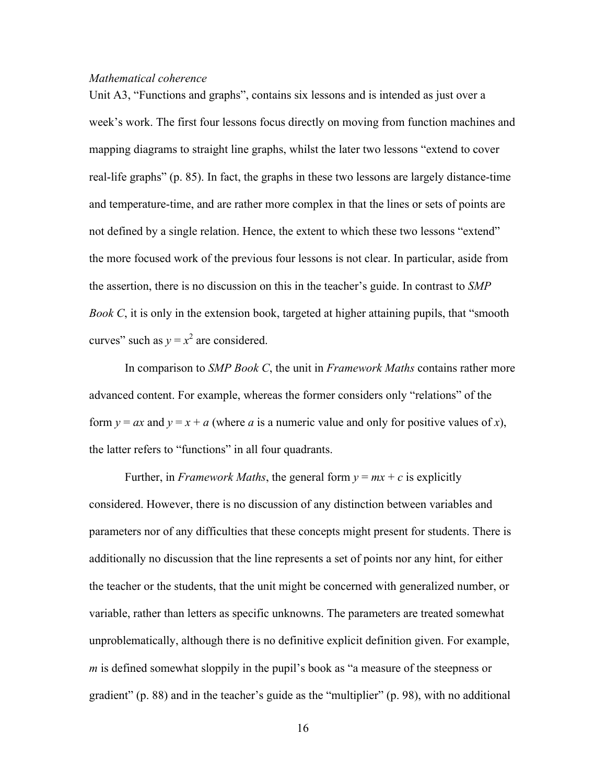### *Mathematical coherence*

Unit A3, "Functions and graphs", contains six lessons and is intended as just over a week's work. The first four lessons focus directly on moving from function machines and mapping diagrams to straight line graphs, whilst the later two lessons "extend to cover real-life graphs" (p. 85). In fact, the graphs in these two lessons are largely distance-time and temperature-time, and are rather more complex in that the lines or sets of points are not defined by a single relation. Hence, the extent to which these two lessons "extend" the more focused work of the previous four lessons is not clear. In particular, aside from the assertion, there is no discussion on this in the teacher's guide. In contrast to *SMP Book C*, it is only in the extension book, targeted at higher attaining pupils, that "smooth" curves" such as  $y = x^2$  are considered.

In comparison to *SMP Book C*, the unit in *Framework Maths* contains rather more advanced content. For example, whereas the former considers only "relations" of the form  $y = ax$  and  $y = x + a$  (where *a* is a numeric value and only for positive values of *x*), the latter refers to "functions" in all four quadrants.

Further, in *Framework Maths*, the general form  $y = mx + c$  is explicitly considered. However, there is no discussion of any distinction between variables and parameters nor of any difficulties that these concepts might present for students. There is additionally no discussion that the line represents a set of points nor any hint, for either the teacher or the students, that the unit might be concerned with generalized number, or variable, rather than letters as specific unknowns. The parameters are treated somewhat unproblematically, although there is no definitive explicit definition given. For example, *m* is defined somewhat sloppily in the pupil's book as "a measure of the steepness or gradient" (p. 88) and in the teacher's guide as the "multiplier" (p. 98), with no additional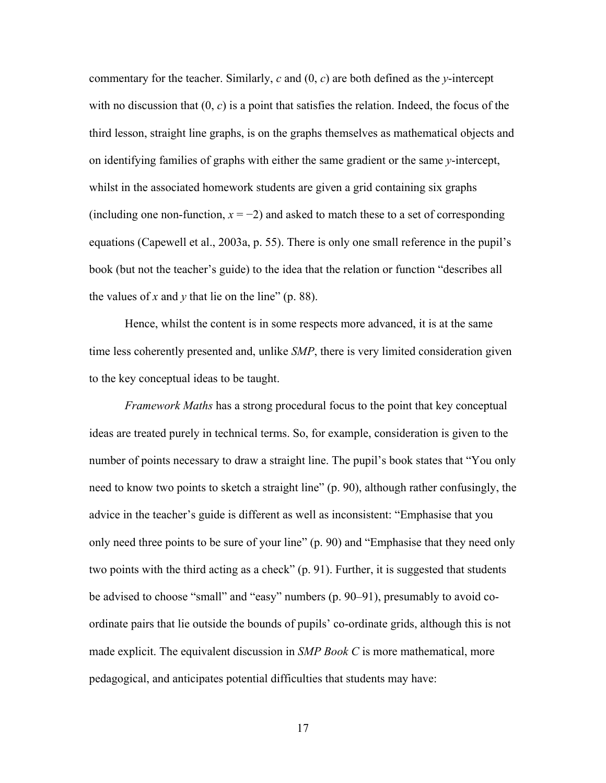commentary for the teacher. Similarly, *c* and (0, *c*) are both defined as the *y*-intercept with no discussion that  $(0, c)$  is a point that satisfies the relation. Indeed, the focus of the third lesson, straight line graphs, is on the graphs themselves as mathematical objects and on identifying families of graphs with either the same gradient or the same *y*-intercept, whilst in the associated homework students are given a grid containing six graphs (including one non-function,  $x = -2$ ) and asked to match these to a set of corresponding equations (Capewell et al., 2003a, p. 55). There is only one small reference in the pupil's book (but not the teacher's guide) to the idea that the relation or function "describes all the values of *x* and *y* that lie on the line" (p. 88).

Hence, whilst the content is in some respects more advanced, it is at the same time less coherently presented and, unlike *SMP*, there is very limited consideration given to the key conceptual ideas to be taught.

*Framework Maths* has a strong procedural focus to the point that key conceptual ideas are treated purely in technical terms. So, for example, consideration is given to the number of points necessary to draw a straight line. The pupil's book states that "You only need to know two points to sketch a straight line" (p. 90), although rather confusingly, the advice in the teacher's guide is different as well as inconsistent: "Emphasise that you only need three points to be sure of your line" (p. 90) and "Emphasise that they need only two points with the third acting as a check" (p. 91). Further, it is suggested that students be advised to choose "small" and "easy" numbers (p. 90–91), presumably to avoid coordinate pairs that lie outside the bounds of pupils' co-ordinate grids, although this is not made explicit. The equivalent discussion in *SMP Book C* is more mathematical, more pedagogical, and anticipates potential difficulties that students may have: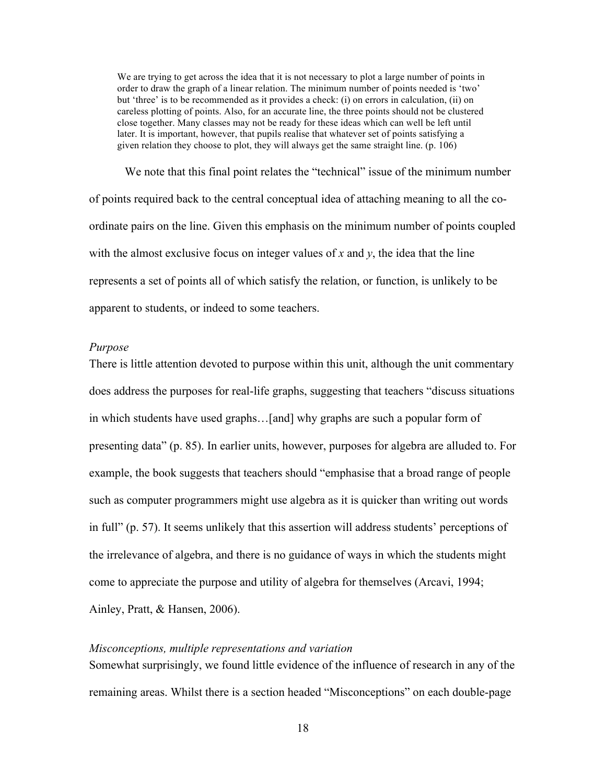We are trying to get across the idea that it is not necessary to plot a large number of points in order to draw the graph of a linear relation. The minimum number of points needed is 'two' but 'three' is to be recommended as it provides a check: (i) on errors in calculation, (ii) on careless plotting of points. Also, for an accurate line, the three points should not be clustered close together. Many classes may not be ready for these ideas which can well be left until later. It is important, however, that pupils realise that whatever set of points satisfying a given relation they choose to plot, they will always get the same straight line. (p. 106)

We note that this final point relates the "technical" issue of the minimum number of points required back to the central conceptual idea of attaching meaning to all the coordinate pairs on the line. Given this emphasis on the minimum number of points coupled with the almost exclusive focus on integer values of  $x$  and  $y$ , the idea that the line represents a set of points all of which satisfy the relation, or function, is unlikely to be apparent to students, or indeed to some teachers.

### *Purpose*

There is little attention devoted to purpose within this unit, although the unit commentary does address the purposes for real-life graphs, suggesting that teachers "discuss situations in which students have used graphs…[and] why graphs are such a popular form of presenting data" (p. 85). In earlier units, however, purposes for algebra are alluded to. For example, the book suggests that teachers should "emphasise that a broad range of people such as computer programmers might use algebra as it is quicker than writing out words in full" (p. 57). It seems unlikely that this assertion will address students' perceptions of the irrelevance of algebra, and there is no guidance of ways in which the students might come to appreciate the purpose and utility of algebra for themselves (Arcavi, 1994;

Ainley, Pratt, & Hansen, 2006).

# *Misconceptions, multiple representations and variation*

Somewhat surprisingly, we found little evidence of the influence of research in any of the remaining areas. Whilst there is a section headed "Misconceptions" on each double-page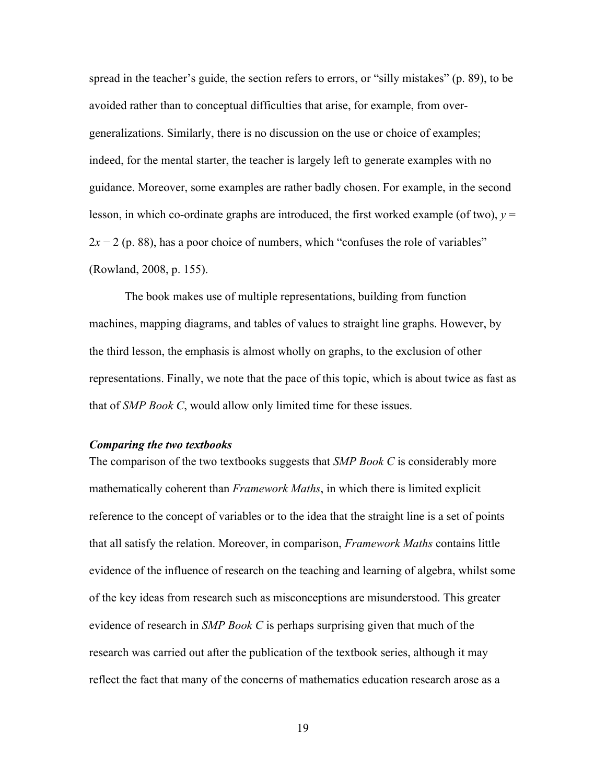spread in the teacher's guide, the section refers to errors, or "silly mistakes" (p. 89), to be avoided rather than to conceptual difficulties that arise, for example, from overgeneralizations. Similarly, there is no discussion on the use or choice of examples; indeed, for the mental starter, the teacher is largely left to generate examples with no guidance. Moreover, some examples are rather badly chosen. For example, in the second lesson, in which co-ordinate graphs are introduced, the first worked example (of two),  $y =$ 2*x* − 2 (p. 88), has a poor choice of numbers, which "confuses the role of variables" (Rowland, 2008, p. 155).

The book makes use of multiple representations, building from function machines, mapping diagrams, and tables of values to straight line graphs. However, by the third lesson, the emphasis is almost wholly on graphs, to the exclusion of other representations. Finally, we note that the pace of this topic, which is about twice as fast as that of *SMP Book C*, would allow only limited time for these issues.

### *Comparing the two textbooks*

The comparison of the two textbooks suggests that *SMP Book C* is considerably more mathematically coherent than *Framework Maths*, in which there is limited explicit reference to the concept of variables or to the idea that the straight line is a set of points that all satisfy the relation. Moreover, in comparison, *Framework Maths* contains little evidence of the influence of research on the teaching and learning of algebra, whilst some of the key ideas from research such as misconceptions are misunderstood. This greater evidence of research in *SMP Book C* is perhaps surprising given that much of the research was carried out after the publication of the textbook series, although it may reflect the fact that many of the concerns of mathematics education research arose as a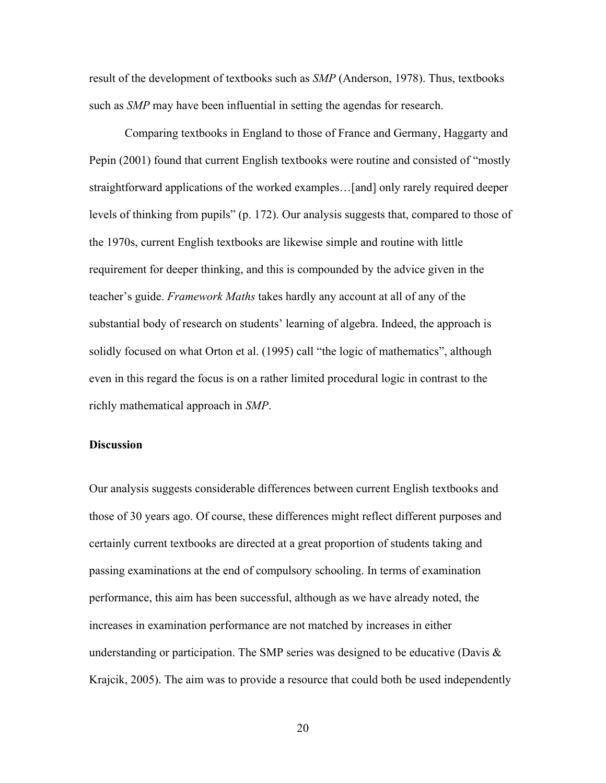result of the development of textbooks such as *SMP* (Anderson, 1978). Thus, textbooks such as *SMP* may have been influential in setting the agendas for research.

Comparing textbooks in England to those of France and Germany, Haggarty and Pepin (2001) found that current English textbooks were routine and consisted of "mostly straightforward applications of the worked examples…[and] only rarely required deeper levels of thinking from pupils" (p. 172). Our analysis suggests that, compared to those of the 1970s, current English textbooks are likewise simple and routine with little requirement for deeper thinking, and this is compounded by the advice given in the teacher's guide. *Framework Maths* takes hardly any account at all of any of the substantial body of research on students' learning of algebra. Indeed, the approach is solidly focused on what Orton et al. (1995) call "the logic of mathematics", although even in this regard the focus is on a rather limited procedural logic in contrast to the richly mathematical approach in *SMP*.

## **Discussion**

Our analysis suggests considerable differences between current English textbooks and those of 30 years ago. Of course, these differences might reflect different purposes and certainly current textbooks are directed at a great proportion of students taking and passing examinations at the end of compulsory schooling. In terms of examination performance, this aim has been successful, although as we have already noted, the increases in examination performance are not matched by increases in either understanding or participation. The SMP series was designed to be educative (Davis  $\&$ Krajcik, 2005). The aim was to provide a resource that could both be used independently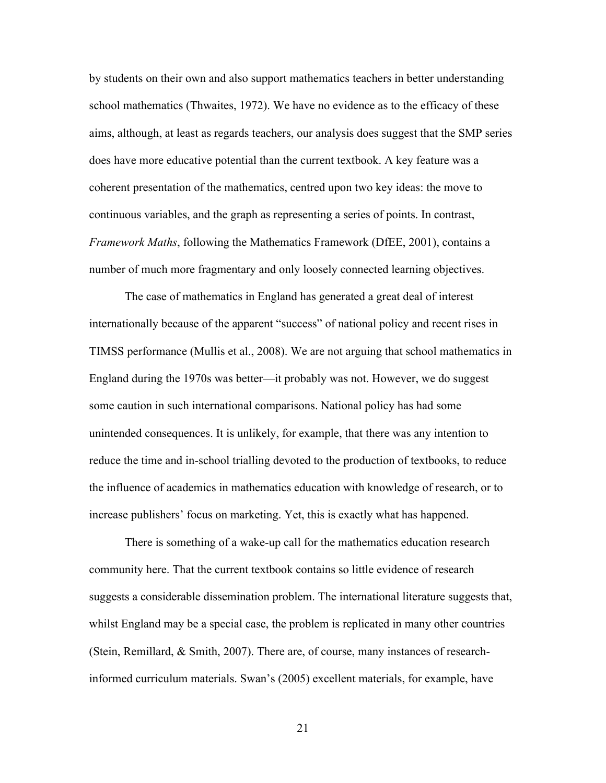by students on their own and also support mathematics teachers in better understanding school mathematics (Thwaites, 1972). We have no evidence as to the efficacy of these aims, although, at least as regards teachers, our analysis does suggest that the SMP series does have more educative potential than the current textbook. A key feature was a coherent presentation of the mathematics, centred upon two key ideas: the move to continuous variables, and the graph as representing a series of points. In contrast, *Framework Maths*, following the Mathematics Framework (DfEE, 2001), contains a number of much more fragmentary and only loosely connected learning objectives.

The case of mathematics in England has generated a great deal of interest internationally because of the apparent "success" of national policy and recent rises in TIMSS performance (Mullis et al., 2008). We are not arguing that school mathematics in England during the 1970s was better—it probably was not. However, we do suggest some caution in such international comparisons. National policy has had some unintended consequences. It is unlikely, for example, that there was any intention to reduce the time and in-school trialling devoted to the production of textbooks, to reduce the influence of academics in mathematics education with knowledge of research, or to increase publishers' focus on marketing. Yet, this is exactly what has happened.

There is something of a wake-up call for the mathematics education research community here. That the current textbook contains so little evidence of research suggests a considerable dissemination problem. The international literature suggests that, whilst England may be a special case, the problem is replicated in many other countries (Stein, Remillard, & Smith, 2007). There are, of course, many instances of researchinformed curriculum materials. Swan's (2005) excellent materials, for example, have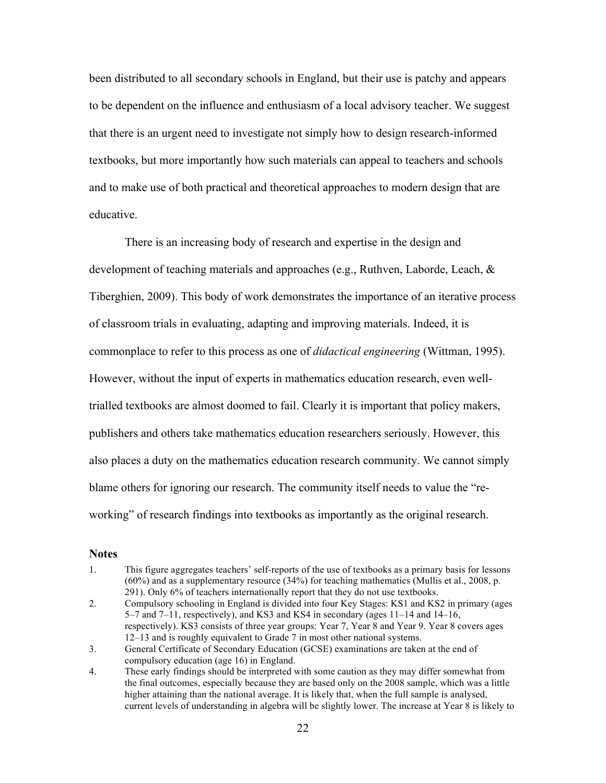been distributed to all secondary schools in England, but their use is patchy and appears to be dependent on the influence and enthusiasm of a local advisory teacher. We suggest that there is an urgent need to investigate not simply how to design research-informed textbooks, but more importantly how such materials can appeal to teachers and schools and to make use of both practical and theoretical approaches to modern design that are educative.

There is an increasing body of research and expertise in the design and development of teaching materials and approaches (e.g., Ruthven, Laborde, Leach, & Tiberghien, 2009). This body of work demonstrates the importance of an iterative process of classroom trials in evaluating, adapting and improving materials. Indeed, it is commonplace to refer to this process as one of *didactical engineering* (Wittman, 1995). However, without the input of experts in mathematics education research, even welltrialled textbooks are almost doomed to fail. Clearly it is important that policy makers, publishers and others take mathematics education researchers seriously. However, this also places a duty on the mathematics education research community. We cannot simply blame others for ignoring our research. The community itself needs to value the "reworking" of research findings into textbooks as importantly as the original research.

### **Notes**

- 1. This figure aggregates teachers' self-reports of the use of textbooks as a primary basis for lessons (60%) and as a supplementary resource (34%) for teaching mathematics (Mullis et al., 2008, p. 291). Only 6% of teachers internationally report that they do not use textbooks.
- 2. Compulsory schooling in England is divided into four Key Stages: KS1 and KS2 in primary (ages 5–7 and 7–11, respectively), and KS3 and KS4 in secondary (ages 11–14 and 14–16, respectively). KS3 consists of three year groups: Year 7, Year 8 and Year 9. Year 8 covers ages 12–13 and is roughly equivalent to Grade 7 in most other national systems.
- 3. General Certificate of Secondary Education (GCSE) examinations are taken at the end of compulsory education (age 16) in England.
- 4. These early findings should be interpreted with some caution as they may differ somewhat from the final outcomes, especially because they are based only on the 2008 sample, which was a little higher attaining than the national average. It is likely that, when the full sample is analysed, current levels of understanding in algebra will be slightly lower. The increase at Year 8 is likely to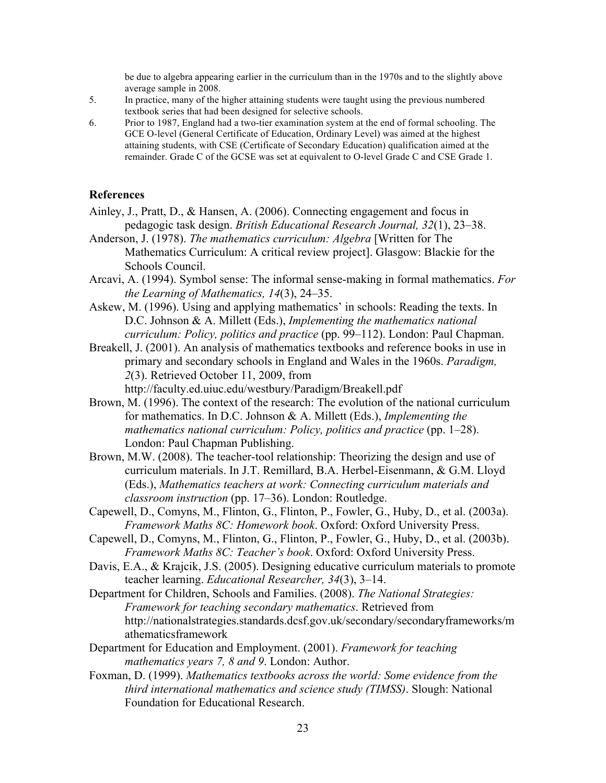be due to algebra appearing earlier in the curriculum than in the 1970s and to the slightly above average sample in 2008.

- 5. In practice, many of the higher attaining students were taught using the previous numbered textbook series that had been designed for selective schools.
- 6. Prior to 1987, England had a two-tier examination system at the end of formal schooling. The GCE O-level (General Certificate of Education, Ordinary Level) was aimed at the highest attaining students, with CSE (Certificate of Secondary Education) qualification aimed at the remainder. Grade C of the GCSE was set at equivalent to O-level Grade C and CSE Grade 1.

# **References**

- Ainley, J., Pratt, D., & Hansen, A. (2006). Connecting engagement and focus in pedagogic task design. *British Educational Research Journal, 32*(1), 23–38.
- Anderson, J. (1978). *The mathematics curriculum: Algebra* [Written for The Mathematics Curriculum: A critical review project]. Glasgow: Blackie for the Schools Council.
- Arcavi, A. (1994). Symbol sense: The informal sense-making in formal mathematics. *For the Learning of Mathematics, 14*(3), 24–35.
- Askew, M. (1996). Using and applying mathematics' in schools: Reading the texts. In D.C. Johnson & A. Millett (Eds.), *Implementing the mathematics national curriculum: Policy, politics and practice* (pp. 99–112). London: Paul Chapman.
- Breakell, J. (2001). An analysis of mathematics textbooks and reference books in use in primary and secondary schools in England and Wales in the 1960s. *Paradigm, 2*(3). Retrieved October 11, 2009, from http://faculty.ed.uiuc.edu/westbury/Paradigm/Breakell.pdf
- Brown, M. (1996). The context of the research: The evolution of the national curriculum for mathematics. In D.C. Johnson & A. Millett (Eds.), *Implementing the mathematics national curriculum: Policy, politics and practice* (pp. 1–28). London: Paul Chapman Publishing.
- Brown, M.W. (2008). The teacher-tool relationship: Theorizing the design and use of curriculum materials. In J.T. Remillard, B.A. Herbel-Eisenmann, & G.M. Lloyd (Eds.), *Mathematics teachers at work: Connecting curriculum materials and classroom instruction* (pp. 17–36). London: Routledge.
- Capewell, D., Comyns, M., Flinton, G., Flinton, P., Fowler, G., Huby, D., et al. (2003a). *Framework Maths 8C: Homework book*. Oxford: Oxford University Press.
- Capewell, D., Comyns, M., Flinton, G., Flinton, P., Fowler, G., Huby, D., et al. (2003b). *Framework Maths 8C: Teacher's book*. Oxford: Oxford University Press.
- Davis, E.A., & Krajcik, J.S. (2005). Designing educative curriculum materials to promote teacher learning. *Educational Researcher, 34*(3), 3–14.
- Department for Children, Schools and Families. (2008). *The National Strategies: Framework for teaching secondary mathematics*. Retrieved from http://nationalstrategies.standards.dcsf.gov.uk/secondary/secondaryframeworks/m athematicsframework
- Department for Education and Employment. (2001). *Framework for teaching mathematics years 7, 8 and 9*. London: Author.
- Foxman, D. (1999). *Mathematics textbooks across the world: Some evidence from the third international mathematics and science study (TIMSS)*. Slough: National Foundation for Educational Research.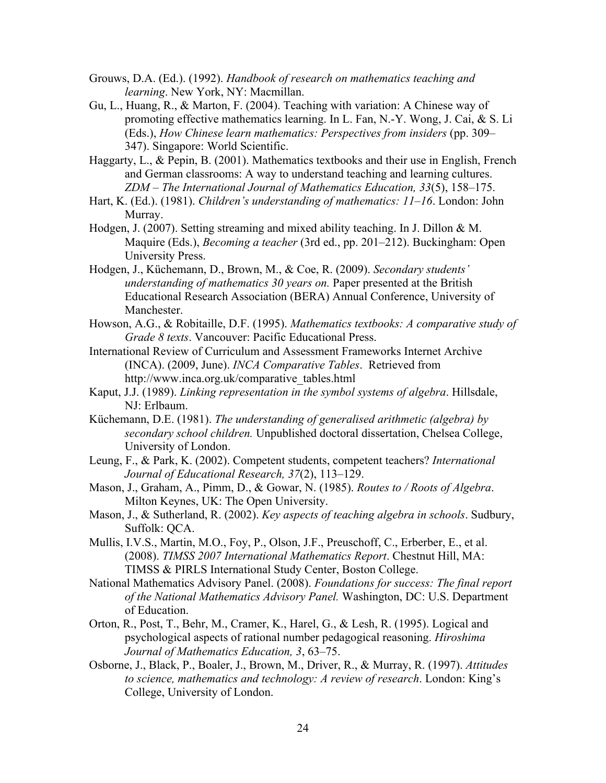- Grouws, D.A. (Ed.). (1992). *Handbook of research on mathematics teaching and learning*. New York, NY: Macmillan.
- Gu, L., Huang, R., & Marton, F. (2004). Teaching with variation: A Chinese way of promoting effective mathematics learning. In L. Fan, N.-Y. Wong, J. Cai, & S. Li (Eds.), *How Chinese learn mathematics: Perspectives from insiders* (pp. 309– 347). Singapore: World Scientific.
- Haggarty, L., & Pepin, B. (2001). Mathematics textbooks and their use in English, French and German classrooms: A way to understand teaching and learning cultures. *ZDM – The International Journal of Mathematics Education, 33*(5), 158–175.
- Hart, K. (Ed.). (1981). *Children's understanding of mathematics: 11–16*. London: John Murray.
- Hodgen, J. (2007). Setting streaming and mixed ability teaching. In J. Dillon & M. Maquire (Eds.), *Becoming a teacher* (3rd ed., pp. 201–212). Buckingham: Open University Press.
- Hodgen, J., Küchemann, D., Brown, M., & Coe, R. (2009). *Secondary students' understanding of mathematics 30 years on.* Paper presented at the British Educational Research Association (BERA) Annual Conference, University of Manchester.
- Howson, A.G., & Robitaille, D.F. (1995). *Mathematics textbooks: A comparative study of Grade 8 texts*. Vancouver: Pacific Educational Press.
- International Review of Curriculum and Assessment Frameworks Internet Archive (INCA). (2009, June). *INCA Comparative Tables*. Retrieved from http://www.inca.org.uk/comparative\_tables.html
- Kaput, J.J. (1989). *Linking representation in the symbol systems of algebra*. Hillsdale, NJ: Erlbaum.
- Küchemann, D.E. (1981). *The understanding of generalised arithmetic (algebra) by secondary school children.* Unpublished doctoral dissertation, Chelsea College, University of London.
- Leung, F., & Park, K. (2002). Competent students, competent teachers? *International Journal of Educational Research, 37*(2), 113–129.
- Mason, J., Graham, A., Pimm, D., & Gowar, N. (1985). *Routes to / Roots of Algebra*. Milton Keynes, UK: The Open University.
- Mason, J., & Sutherland, R. (2002). *Key aspects of teaching algebra in schools*. Sudbury, Suffolk: QCA.
- Mullis, I.V.S., Martin, M.O., Foy, P., Olson, J.F., Preuschoff, C., Erberber, E., et al. (2008). *TIMSS 2007 International Mathematics Report*. Chestnut Hill, MA: TIMSS & PIRLS International Study Center, Boston College.
- National Mathematics Advisory Panel. (2008). *Foundations for success: The final report of the National Mathematics Advisory Panel.* Washington, DC: U.S. Department of Education.
- Orton, R., Post, T., Behr, M., Cramer, K., Harel, G., & Lesh, R. (1995). Logical and psychological aspects of rational number pedagogical reasoning. *Hiroshima Journal of Mathematics Education, 3*, 63–75.
- Osborne, J., Black, P., Boaler, J., Brown, M., Driver, R., & Murray, R. (1997). *Attitudes to science, mathematics and technology: A review of research*. London: King's College, University of London.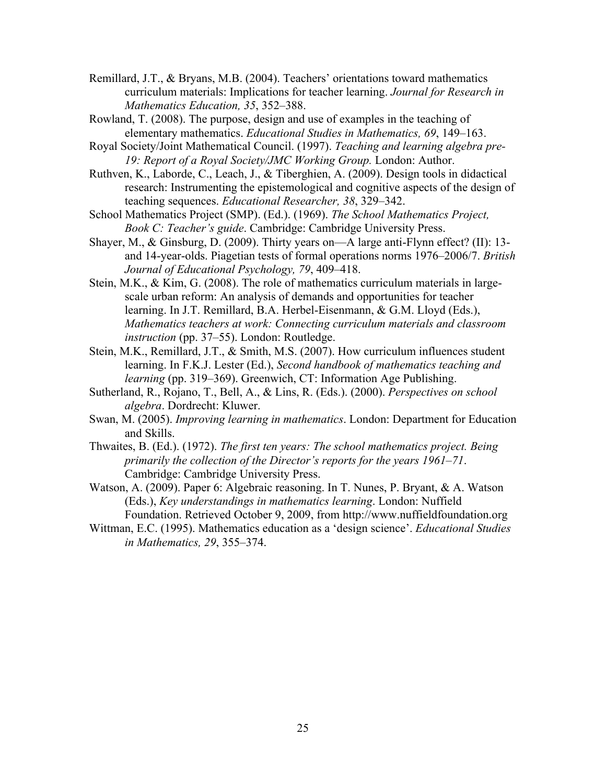- Remillard, J.T., & Bryans, M.B. (2004). Teachers' orientations toward mathematics curriculum materials: Implications for teacher learning. *Journal for Research in Mathematics Education, 35*, 352–388.
- Rowland, T. (2008). The purpose, design and use of examples in the teaching of elementary mathematics. *Educational Studies in Mathematics, 69*, 149–163.
- Royal Society/Joint Mathematical Council. (1997). *Teaching and learning algebra pre-*19: Report of a Royal Society/JMC Working Group. London: Author.
- Ruthven, K., Laborde, C., Leach, J., & Tiberghien, A. (2009). Design tools in didactical research: Instrumenting the epistemological and cognitive aspects of the design of teaching sequences. *Educational Researcher, 38*, 329–342.
- School Mathematics Project (SMP). (Ed.). (1969). *The School Mathematics Project, Book C: Teacher's guide*. Cambridge: Cambridge University Press.
- Shayer, M., & Ginsburg, D. (2009). Thirty years on—A large anti-Flynn effect? (II): 13 and 14-year-olds. Piagetian tests of formal operations norms 1976–2006/7. *British Journal of Educational Psychology, 79*, 409–418.
- Stein, M.K., & Kim, G. (2008). The role of mathematics curriculum materials in largescale urban reform: An analysis of demands and opportunities for teacher learning. In J.T. Remillard, B.A. Herbel-Eisenmann, & G.M. Lloyd (Eds.), *Mathematics teachers at work: Connecting curriculum materials and classroom instruction* (pp. 37–55). London: Routledge.
- Stein, M.K., Remillard, J.T., & Smith, M.S. (2007). How curriculum influences student learning. In F.K.J. Lester (Ed.), *Second handbook of mathematics teaching and learning* (pp. 319–369). Greenwich, CT: Information Age Publishing.
- Sutherland, R., Rojano, T., Bell, A., & Lins, R. (Eds.). (2000). *Perspectives on school algebra*. Dordrecht: Kluwer.
- Swan, M. (2005). *Improving learning in mathematics*. London: Department for Education and Skills.
- Thwaites, B. (Ed.). (1972). *The first ten years: The school mathematics project. Being primarily the collection of the Director's reports for the years 1961–71*. Cambridge: Cambridge University Press.
- Watson, A. (2009). Paper 6: Algebraic reasoning. In T. Nunes, P. Bryant, & A. Watson (Eds.), *Key understandings in mathematics learning*. London: Nuffield Foundation. Retrieved October 9, 2009, from http://www.nuffieldfoundation.org
- Wittman, E.C. (1995). Mathematics education as a 'design science'. *Educational Studies in Mathematics, 29*, 355–374.